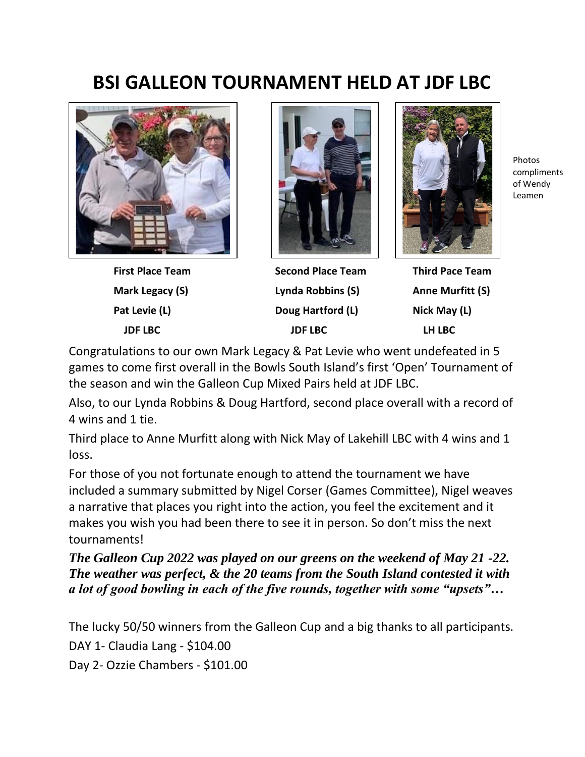## **BSI GALLEON TOURNAMENT HELD AT JDF LBC**





 **First Place Team Second Place Team Third Pace Team Mark Legacy (S) Lynda Robbins (S) Anne Murfitt (S)**  Pat Levie (L) **Doug Hartford (L)** Nick May (L)  **JDF LBC JDF LBC LH LBC**



Photos compliments of Wendy Leamen

Congratulations to our own Mark Legacy & Pat Levie who went undefeated in 5 games to come first overall in the Bowls South Island's first 'Open' Tournament of the season and win the Galleon Cup Mixed Pairs held at JDF LBC.

Also, to our Lynda Robbins & Doug Hartford, second place overall with a record of 4 wins and 1 tie.

Third place to Anne Murfitt along with Nick May of Lakehill LBC with 4 wins and 1 loss.

For those of you not fortunate enough to attend the tournament we have included a summary submitted by Nigel Corser (Games Committee), Nigel weaves a narrative that places you right into the action, you feel the excitement and it makes you wish you had been there to see it in person. So don't miss the next tournaments!

*The Galleon Cup 2022 was played on our greens on the weekend of May 21 -22. The weather was perfect, & the 20 teams from the South Island contested it with a lot of good bowling in each of the five rounds, together with some "upsets"…*

The lucky 50/50 winners from the Galleon Cup and a big thanks to all participants. DAY 1- Claudia Lang - \$104.00 Day 2- Ozzie Chambers - \$101.00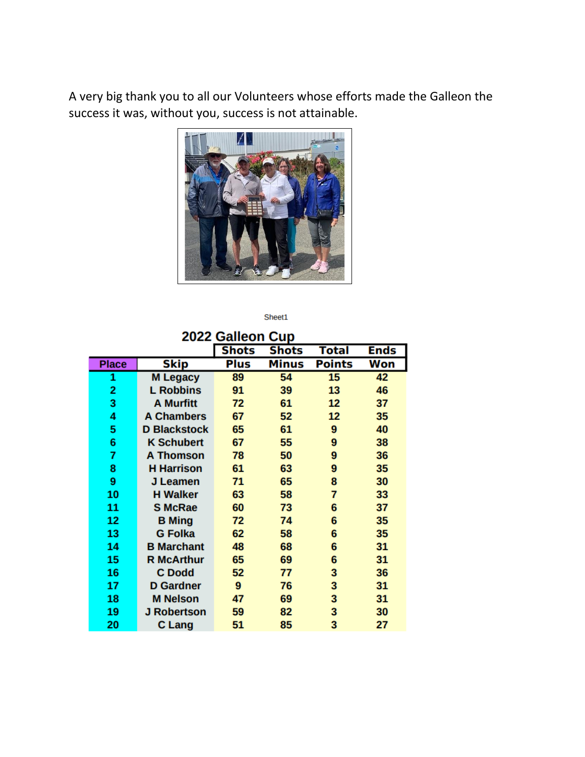A very big thank you to all our Volunteers whose efforts made the Galleon the success it was, without you, success is not attainable.



Sheet1

| 2022 Galleon Cup |  |  |
|------------------|--|--|

|              |                     | <b>Shots</b> | <b>Shots</b> | Total         | <b>Ends</b> |
|--------------|---------------------|--------------|--------------|---------------|-------------|
| <b>Place</b> | Skip                | <b>Plus</b>  | <b>Minus</b> | <b>Points</b> | Won         |
| 1            | <b>M Legacy</b>     | 89           | 54           | 15            | 42          |
| 2            | <b>L</b> Robbins    | 91           | 39           | 13            | 46          |
| 3            | <b>A Murfitt</b>    | 72           | 61           | 12            | 37          |
| 4            | <b>A Chambers</b>   | 67           | 52           | 12            | 35          |
| 5            | <b>D Blackstock</b> | 65           | 61           | 9             | 40          |
| 6            | <b>K Schubert</b>   | 67           | 55           | 9             | 38          |
| 7            | <b>A Thomson</b>    | 78           | 50           | 9             | 36          |
| 8            | <b>H</b> Harrison   | 61           | 63           | 9             | 35          |
| 9            | J Leamen            | 71           | 65           | 8             | 30          |
| 10           | <b>H Walker</b>     | 63           | 58           | 7             | 33          |
| 11           | <b>S McRae</b>      | 60           | 73           | 6             | 37          |
| 12           | <b>B</b> Ming       | 72           | 74           | 6             | 35          |
| 13           | <b>G</b> Folka      | 62           | 58           | 6             | 35          |
| 14           | <b>B</b> Marchant   | 48           | 68           | 6             | 31          |
| 15           | <b>R McArthur</b>   | 65           | 69           | 6             | 31          |
| 16           | C Dodd              | 52           | 77           | 3             | 36          |
| 17           | <b>D</b> Gardner    | 9            | 76           | 3             | 31          |
| 18           | <b>M</b> Nelson     | 47           | 69           | 3             | 31          |
| 19           | <b>J Robertson</b>  | 59           | 82           | 3             | 30          |
| 20           | C Lang              | 51           | 85           | 3             | 27          |